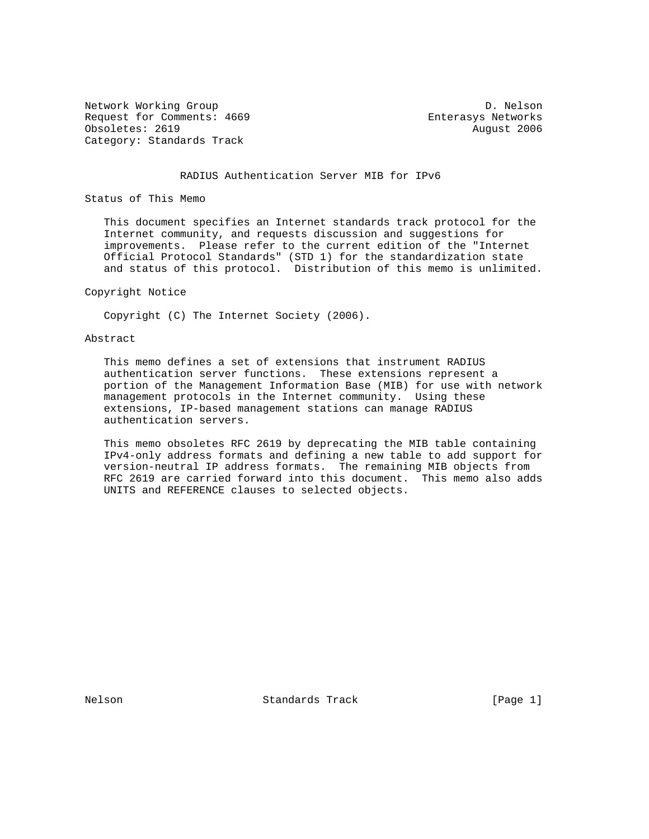Network Working Group Description of the U.S. Nelson D. Nelson Request for Comments: 4669 Enterasys Networks Obsoletes: 2619 August 2006 Category: Standards Track

#### RADIUS Authentication Server MIB for IPv6

Status of This Memo

 This document specifies an Internet standards track protocol for the Internet community, and requests discussion and suggestions for improvements. Please refer to the current edition of the "Internet Official Protocol Standards" (STD 1) for the standardization state and status of this protocol. Distribution of this memo is unlimited.

#### Copyright Notice

Copyright (C) The Internet Society (2006).

### Abstract

 This memo defines a set of extensions that instrument RADIUS authentication server functions. These extensions represent a portion of the Management Information Base (MIB) for use with network management protocols in the Internet community. Using these extensions, IP-based management stations can manage RADIUS authentication servers.

 This memo obsoletes RFC 2619 by deprecating the MIB table containing IPv4-only address formats and defining a new table to add support for version-neutral IP address formats. The remaining MIB objects from RFC 2619 are carried forward into this document. This memo also adds UNITS and REFERENCE clauses to selected objects.

Nelson **Standards Track** [Page 1]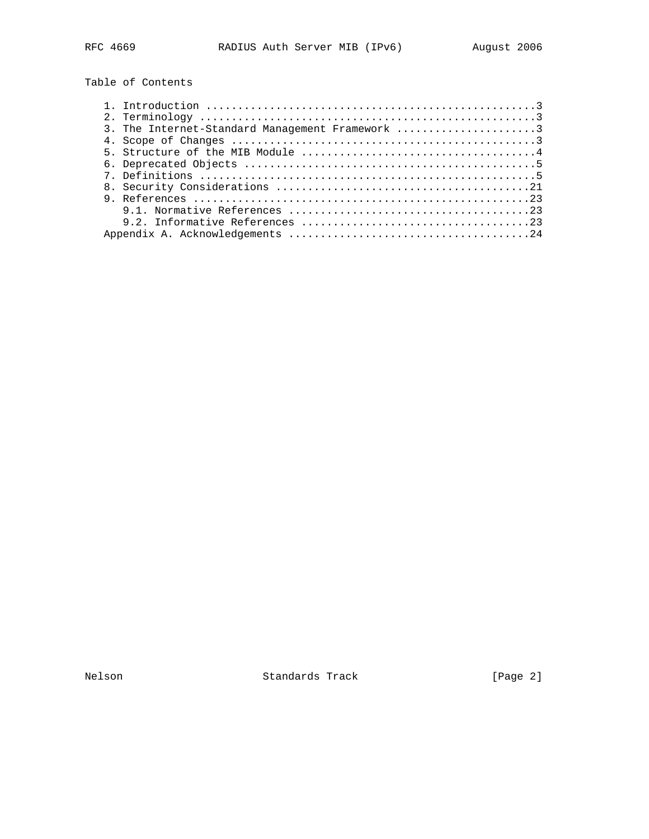Table of Contents

| 3. The Internet-Standard Management Framework 3 |
|-------------------------------------------------|
|                                                 |
|                                                 |
|                                                 |
|                                                 |
|                                                 |
|                                                 |
|                                                 |
|                                                 |
|                                                 |

Nelson Standards Track [Page 2]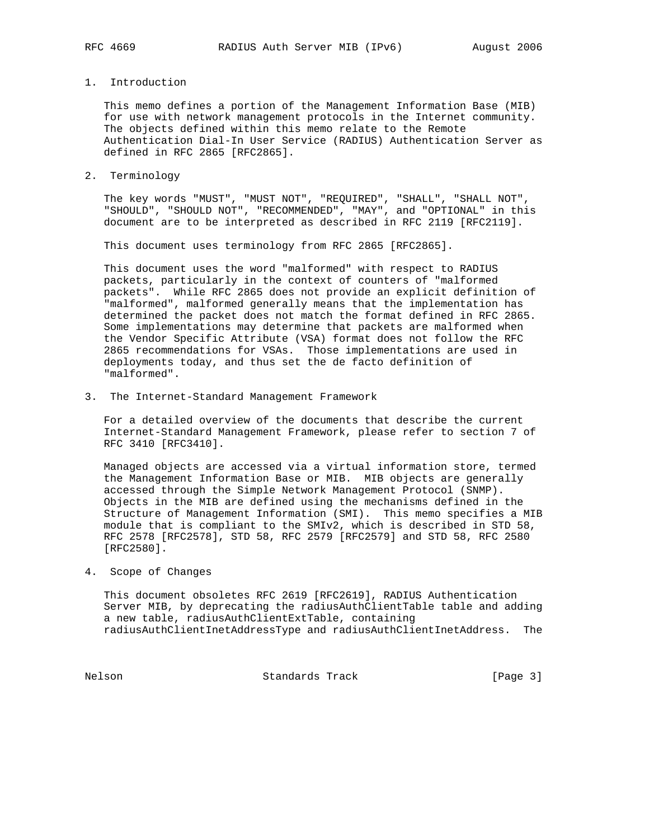# 1. Introduction

 This memo defines a portion of the Management Information Base (MIB) for use with network management protocols in the Internet community. The objects defined within this memo relate to the Remote Authentication Dial-In User Service (RADIUS) Authentication Server as defined in RFC 2865 [RFC2865].

2. Terminology

 The key words "MUST", "MUST NOT", "REQUIRED", "SHALL", "SHALL NOT", "SHOULD", "SHOULD NOT", "RECOMMENDED", "MAY", and "OPTIONAL" in this document are to be interpreted as described in RFC 2119 [RFC2119].

This document uses terminology from RFC 2865 [RFC2865].

 This document uses the word "malformed" with respect to RADIUS packets, particularly in the context of counters of "malformed packets". While RFC 2865 does not provide an explicit definition of "malformed", malformed generally means that the implementation has determined the packet does not match the format defined in RFC 2865. Some implementations may determine that packets are malformed when the Vendor Specific Attribute (VSA) format does not follow the RFC 2865 recommendations for VSAs. Those implementations are used in deployments today, and thus set the de facto definition of "malformed".

3. The Internet-Standard Management Framework

 For a detailed overview of the documents that describe the current Internet-Standard Management Framework, please refer to section 7 of RFC 3410 [RFC3410].

 Managed objects are accessed via a virtual information store, termed the Management Information Base or MIB. MIB objects are generally accessed through the Simple Network Management Protocol (SNMP). Objects in the MIB are defined using the mechanisms defined in the Structure of Management Information (SMI). This memo specifies a MIB module that is compliant to the SMIv2, which is described in STD 58, RFC 2578 [RFC2578], STD 58, RFC 2579 [RFC2579] and STD 58, RFC 2580 [RFC2580].

# 4. Scope of Changes

 This document obsoletes RFC 2619 [RFC2619], RADIUS Authentication Server MIB, by deprecating the radiusAuthClientTable table and adding a new table, radiusAuthClientExtTable, containing radiusAuthClientInetAddressType and radiusAuthClientInetAddress. The

Nelson **Standards Track** [Page 3]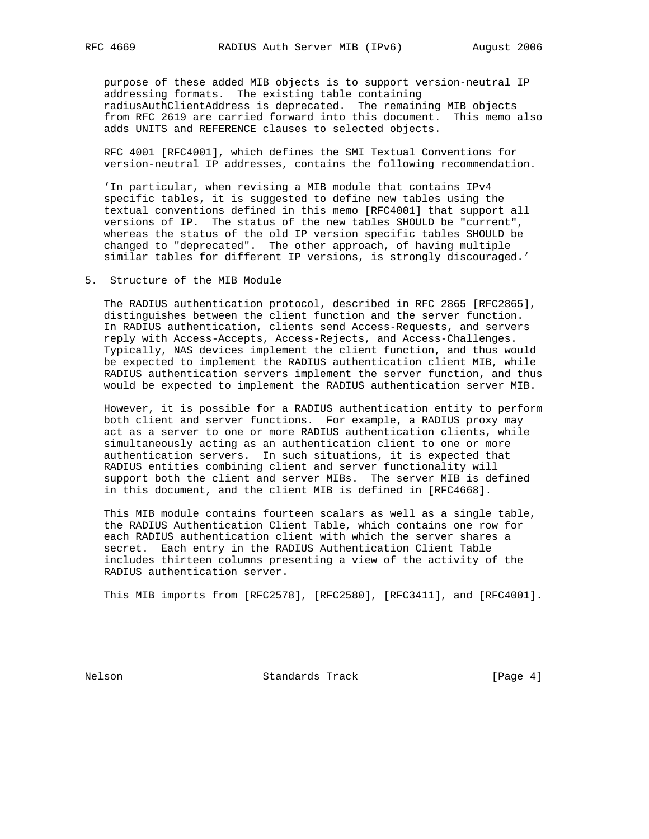purpose of these added MIB objects is to support version-neutral IP addressing formats. The existing table containing radiusAuthClientAddress is deprecated. The remaining MIB objects from RFC 2619 are carried forward into this document. This memo also adds UNITS and REFERENCE clauses to selected objects.

 RFC 4001 [RFC4001], which defines the SMI Textual Conventions for version-neutral IP addresses, contains the following recommendation.

 'In particular, when revising a MIB module that contains IPv4 specific tables, it is suggested to define new tables using the textual conventions defined in this memo [RFC4001] that support all versions of IP. The status of the new tables SHOULD be "current", whereas the status of the old IP version specific tables SHOULD be changed to "deprecated". The other approach, of having multiple similar tables for different IP versions, is strongly discouraged.'

5. Structure of the MIB Module

 The RADIUS authentication protocol, described in RFC 2865 [RFC2865], distinguishes between the client function and the server function. In RADIUS authentication, clients send Access-Requests, and servers reply with Access-Accepts, Access-Rejects, and Access-Challenges. Typically, NAS devices implement the client function, and thus would be expected to implement the RADIUS authentication client MIB, while RADIUS authentication servers implement the server function, and thus would be expected to implement the RADIUS authentication server MIB.

 However, it is possible for a RADIUS authentication entity to perform both client and server functions. For example, a RADIUS proxy may act as a server to one or more RADIUS authentication clients, while simultaneously acting as an authentication client to one or more authentication servers. In such situations, it is expected that RADIUS entities combining client and server functionality will support both the client and server MIBs. The server MIB is defined in this document, and the client MIB is defined in [RFC4668].

 This MIB module contains fourteen scalars as well as a single table, the RADIUS Authentication Client Table, which contains one row for each RADIUS authentication client with which the server shares a secret. Each entry in the RADIUS Authentication Client Table includes thirteen columns presenting a view of the activity of the RADIUS authentication server.

This MIB imports from [RFC2578], [RFC2580], [RFC3411], and [RFC4001].

Nelson **Standards Track** [Page 4]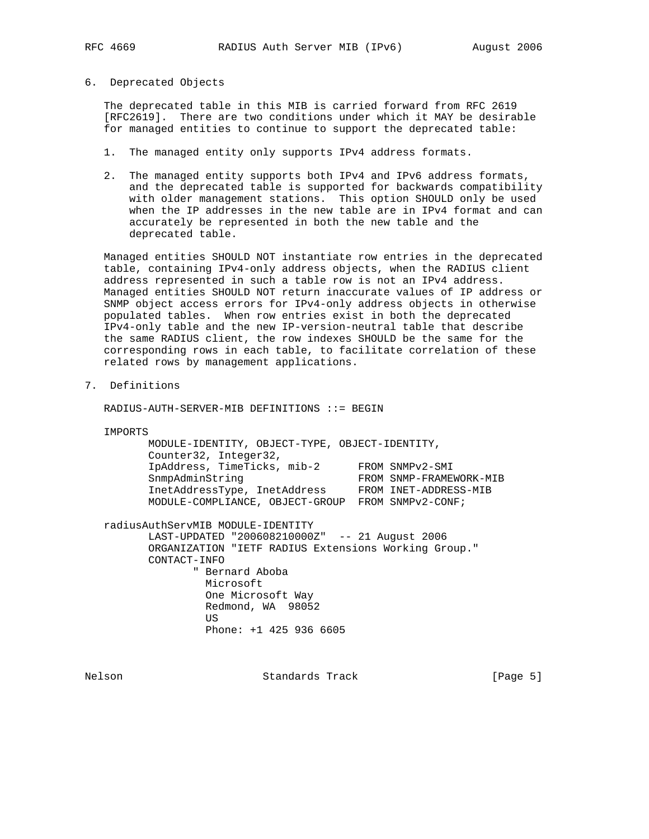#### 6. Deprecated Objects

 The deprecated table in this MIB is carried forward from RFC 2619 [RFC2619]. There are two conditions under which it MAY be desirable for managed entities to continue to support the deprecated table:

- 1. The managed entity only supports IPv4 address formats.
- 2. The managed entity supports both IPv4 and IPv6 address formats, and the deprecated table is supported for backwards compatibility with older management stations. This option SHOULD only be used when the IP addresses in the new table are in IPv4 format and can accurately be represented in both the new table and the deprecated table.

 Managed entities SHOULD NOT instantiate row entries in the deprecated table, containing IPv4-only address objects, when the RADIUS client address represented in such a table row is not an IPv4 address. Managed entities SHOULD NOT return inaccurate values of IP address or SNMP object access errors for IPv4-only address objects in otherwise populated tables. When row entries exist in both the deprecated IPv4-only table and the new IP-version-neutral table that describe the same RADIUS client, the row indexes SHOULD be the same for the corresponding rows in each table, to facilitate correlation of these related rows by management applications.

## 7. Definitions

RADIUS-AUTH-SERVER-MIB DEFINITIONS ::= BEGIN

IMPORTS

| MODULE-IDENTITY, OBJECT-TYPE, OBJECT-IDENTITY,    |                         |
|---------------------------------------------------|-------------------------|
| Counter32, Integer32,                             |                         |
| IpAddress, TimeTicks, mib-2                       | FROM SNMPv2-SMI         |
| SnmpAdminString                                   | FROM SNMP-FRAMEWORK-MIB |
| InetAddressType, InetAddress                      | FROM INET-ADDRESS-MIB   |
| MODULE-COMPLIANCE, OBJECT-GROUP FROM SNMPv2-CONF; |                         |
|                                                   |                         |

radiusAuthServMIB MODULE-IDENTITY

 LAST-UPDATED "200608210000Z" -- 21 August 2006 ORGANIZATION "IETF RADIUS Extensions Working Group." CONTACT-INFO " Bernard Aboba Microsoft One Microsoft Way Redmond, WA 98052 US DE L'ANGELIA DE L'ANGELIA DE L'ANGELIA DE L'ANGELIA DE L'ANGELIA DE L'ANGELIA DE L'ANGELIA DE L'ANGELIA DE Phone: +1 425 936 6605

Nelson **Standards Track** [Page 5]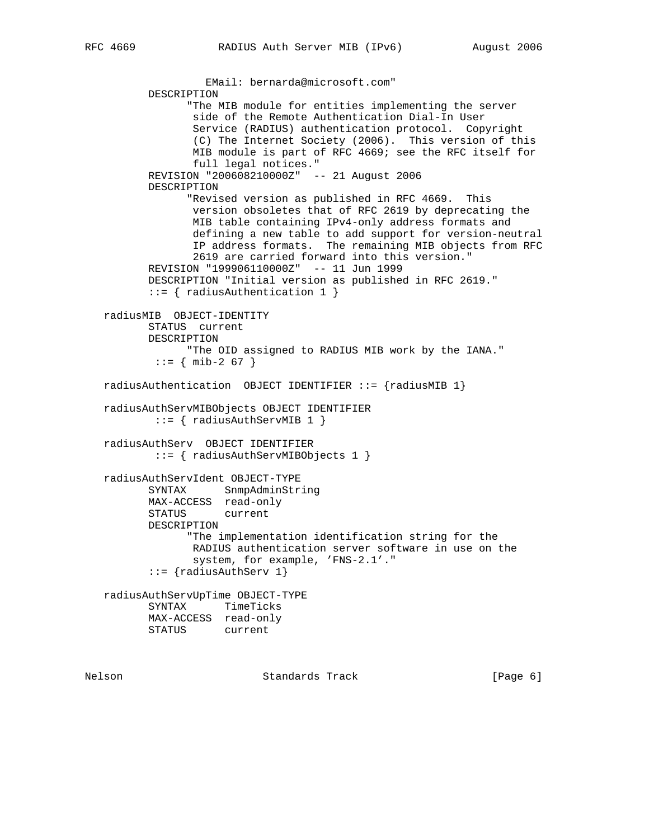EMail: bernarda@microsoft.com" DESCRIPTION "The MIB module for entities implementing the server side of the Remote Authentication Dial-In User Service (RADIUS) authentication protocol. Copyright (C) The Internet Society (2006). This version of this MIB module is part of RFC 4669; see the RFC itself for full legal notices." REVISION "200608210000Z" -- 21 August 2006 DESCRIPTION "Revised version as published in RFC 4669. This version obsoletes that of RFC 2619 by deprecating the MIB table containing IPv4-only address formats and defining a new table to add support for version-neutral IP address formats. The remaining MIB objects from RFC 2619 are carried forward into this version." REVISION "199906110000Z" -- 11 Jun 1999 DESCRIPTION "Initial version as published in RFC 2619." ::= { radiusAuthentication 1 } radiusMIB OBJECT-IDENTITY STATUS current DESCRIPTION "The OID assigned to RADIUS MIB work by the IANA."  $: := \{ \text{min-2 67 } \}$ radiusAuthentication OBJECT IDENTIFIER  $::=$  {radiusMIB 1} radiusAuthServMIBObjects OBJECT IDENTIFIER ::= { radiusAuthServMIB 1 } radiusAuthServ OBJECT IDENTIFIER ::= { radiusAuthServMIBObjects 1 } radiusAuthServIdent OBJECT-TYPE SYNTAX SnmpAdminString MAX-ACCESS read-only STATUS current DESCRIPTION "The implementation identification string for the RADIUS authentication server software in use on the system, for example, 'FNS-2.1'." ::= {radiusAuthServ 1} radiusAuthServUpTime OBJECT-TYPE SYNTAX TimeTicks MAX-ACCESS read-only STATUS current

Nelson **Standards Track** [Page 6]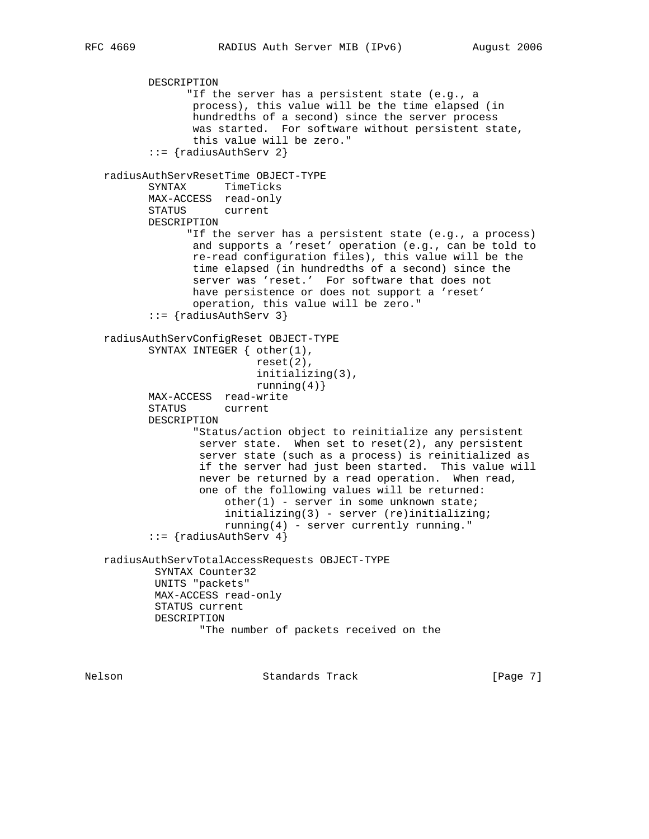```
 DESCRIPTION
              "If the server has a persistent state (e.g., a
               process), this value will be the time elapsed (in
               hundredths of a second) since the server process
               was started. For software without persistent state,
               this value will be zero."
        ::= {radiusAuthServ 2}
 radiusAuthServResetTime OBJECT-TYPE
        SYNTAX TimeTicks
        MAX-ACCESS read-only
        STATUS current
        DESCRIPTION
              "If the server has a persistent state (e.g., a process)
               and supports a 'reset' operation (e.g., can be told to
               re-read configuration files), this value will be the
               time elapsed (in hundredths of a second) since the
               server was 'reset.' For software that does not
               have persistence or does not support a 'reset'
               operation, this value will be zero."
        ::= {radiusAuthServ 3}
 radiusAuthServConfigReset OBJECT-TYPE
        SYNTAX INTEGER { other(1),
                         reset(2),
                         initializing(3),
                        running(4)}
        MAX-ACCESS read-write
        STATUS current
        DESCRIPTION
               "Status/action object to reinitialize any persistent
              server state. When set to reset(2), any persistent
                server state (such as a process) is reinitialized as
                if the server had just been started. This value will
                never be returned by a read operation. When read,
                one of the following values will be returned:
                   other(1) - server in some unknown state;
                    initializing(3) - server (re)initializing;
                    running(4) - server currently running."
        ::= {radiusAuthServ 4}
 radiusAuthServTotalAccessRequests OBJECT-TYPE
         SYNTAX Counter32
         UNITS "packets"
         MAX-ACCESS read-only
         STATUS current
         DESCRIPTION
                "The number of packets received on the
```
Nelson **Standards Track** [Page 7]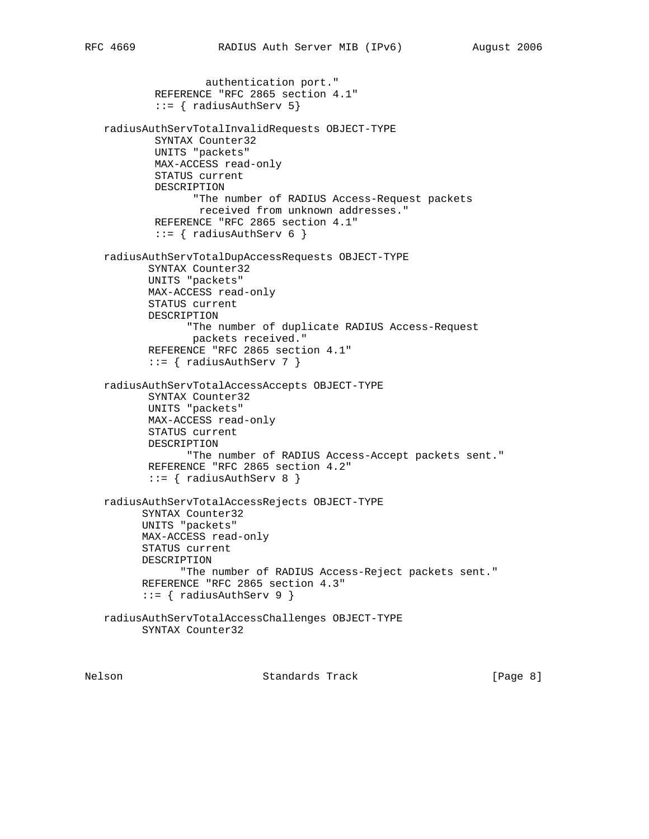```
 authentication port."
         REFERENCE "RFC 2865 section 4.1"
         ::= { radiusAuthServ 5}
 radiusAuthServTotalInvalidRequests OBJECT-TYPE
         SYNTAX Counter32
         UNITS "packets"
         MAX-ACCESS read-only
         STATUS current
         DESCRIPTION
                "The number of RADIUS Access-Request packets
                received from unknown addresses."
         REFERENCE "RFC 2865 section 4.1"
        ::= { radiusAuthServ 6 }
 radiusAuthServTotalDupAccessRequests OBJECT-TYPE
        SYNTAX Counter32
        UNITS "packets"
        MAX-ACCESS read-only
        STATUS current
        DESCRIPTION
              "The number of duplicate RADIUS Access-Request
               packets received."
        REFERENCE "RFC 2865 section 4.1"
       ::= { radiusAuthServ 7 }
 radiusAuthServTotalAccessAccepts OBJECT-TYPE
        SYNTAX Counter32
        UNITS "packets"
        MAX-ACCESS read-only
        STATUS current
        DESCRIPTION
              "The number of RADIUS Access-Accept packets sent."
        REFERENCE "RFC 2865 section 4.2"
        ::= { radiusAuthServ 8 }
 radiusAuthServTotalAccessRejects OBJECT-TYPE
       SYNTAX Counter32
       UNITS "packets"
       MAX-ACCESS read-only
       STATUS current
       DESCRIPTION
             "The number of RADIUS Access-Reject packets sent."
       REFERENCE "RFC 2865 section 4.3"
      ::= { radiusAuthServ 9 }
 radiusAuthServTotalAccessChallenges OBJECT-TYPE
       SYNTAX Counter32
```
Nelson **Standards Track** [Page 8]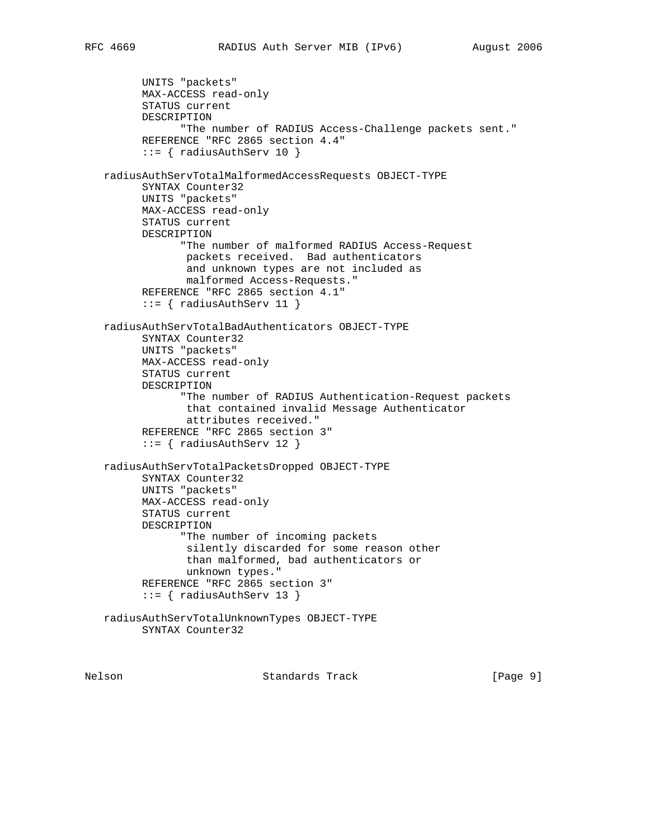```
 UNITS "packets"
       MAX-ACCESS read-only
       STATUS current
       DESCRIPTION
             "The number of RADIUS Access-Challenge packets sent."
       REFERENCE "RFC 2865 section 4.4"
       ::= { radiusAuthServ 10 }
 radiusAuthServTotalMalformedAccessRequests OBJECT-TYPE
       SYNTAX Counter32
       UNITS "packets"
       MAX-ACCESS read-only
       STATUS current
       DESCRIPTION
             "The number of malformed RADIUS Access-Request
              packets received. Bad authenticators
              and unknown types are not included as
              malformed Access-Requests."
       REFERENCE "RFC 2865 section 4.1"
      ::= { radiusAuthServ 11 }
 radiusAuthServTotalBadAuthenticators OBJECT-TYPE
       SYNTAX Counter32
       UNITS "packets"
       MAX-ACCESS read-only
       STATUS current
       DESCRIPTION
             "The number of RADIUS Authentication-Request packets
              that contained invalid Message Authenticator
              attributes received."
       REFERENCE "RFC 2865 section 3"
      ::= { radiusAuthServ 12 }
 radiusAuthServTotalPacketsDropped OBJECT-TYPE
       SYNTAX Counter32
       UNITS "packets"
       MAX-ACCESS read-only
       STATUS current
       DESCRIPTION
             "The number of incoming packets
              silently discarded for some reason other
              than malformed, bad authenticators or
              unknown types."
       REFERENCE "RFC 2865 section 3"
      ::= { radiusAuthServ 13 }
 radiusAuthServTotalUnknownTypes OBJECT-TYPE
       SYNTAX Counter32
```
Nelson **Standards Track** [Page 9]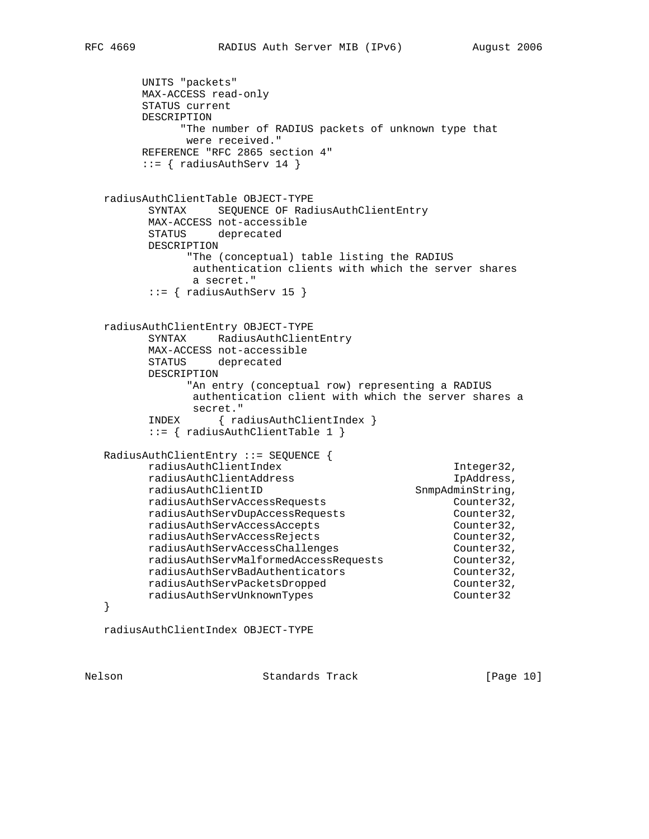```
 UNITS "packets"
        MAX-ACCESS read-only
        STATUS current
        DESCRIPTION
             "The number of RADIUS packets of unknown type that
              were received."
        REFERENCE "RFC 2865 section 4"
       ::= { radiusAuthServ 14 }
   radiusAuthClientTable OBJECT-TYPE
         SYNTAX SEQUENCE OF RadiusAuthClientEntry
         MAX-ACCESS not-accessible
         STATUS deprecated
         DESCRIPTION
              "The (conceptual) table listing the RADIUS
              authentication clients with which the server shares
              a secret."
         ::= { radiusAuthServ 15 }
   radiusAuthClientEntry OBJECT-TYPE
         SYNTAX RadiusAuthClientEntry
         MAX-ACCESS not-accessible
         STATUS deprecated
         DESCRIPTION
              "An entry (conceptual row) representing a RADIUS
              authentication client with which the server shares a
              secret."
         INDEX { radiusAuthClientIndex }
         ::= { radiusAuthClientTable 1 }
   RadiusAuthClientEntry ::= SEQUENCE {
        radiusAuthClientIndex Integer32,
 radiusAuthClientAddress IpAddress,
radiusAuthClientID SnmpAdminString,
 radiusAuthServAccessRequests Counter32,
 radiusAuthServDupAccessRequests Counter32,
 radiusAuthServAccessAccepts Counter32,
 radiusAuthServAccessRejects Counter32,
 radiusAuthServAccessChallenges Counter32,
 radiusAuthServMalformedAccessRequests Counter32,
 radiusAuthServBadAuthenticators Counter32,
 radiusAuthServPacketsDropped Counter32,
       radiusAuthServPacketsDropped<br>
radiusAuthServUnknownTypes<br>
Counter32
   }
   radiusAuthClientIndex OBJECT-TYPE
```
Nelson **Standards Track** [Page 10]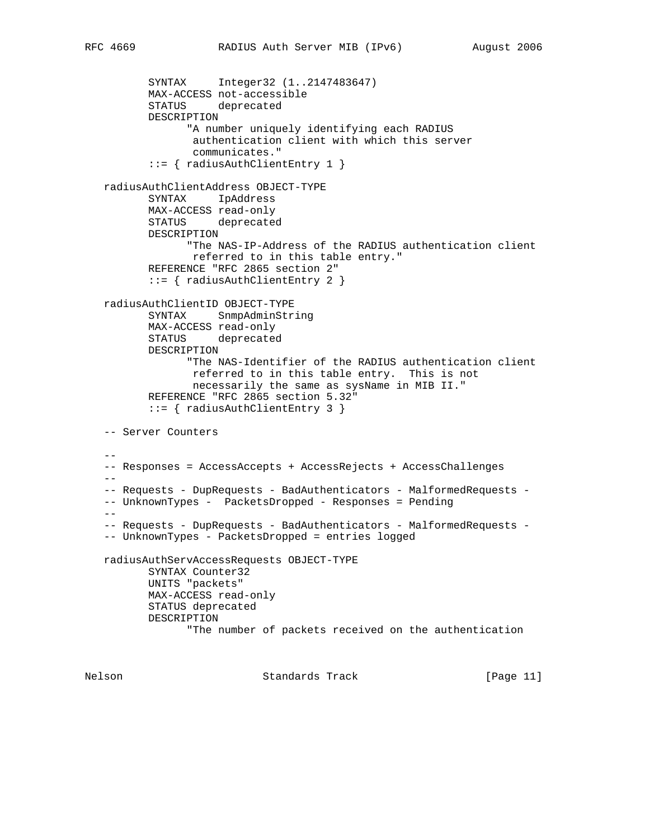```
 SYNTAX Integer32 (1..2147483647)
          MAX-ACCESS not-accessible
          STATUS deprecated
          DESCRIPTION
                 "A number uniquely identifying each RADIUS
                  authentication client with which this server
                  communicates."
           ::= { radiusAuthClientEntry 1 }
   radiusAuthClientAddress OBJECT-TYPE
          SYNTAX IpAddress
          MAX-ACCESS read-only
          STATUS deprecated
          DESCRIPTION
                "The NAS-IP-Address of the RADIUS authentication client
                 referred to in this table entry."
          REFERENCE "RFC 2865 section 2"
          ::= { radiusAuthClientEntry 2 }
   radiusAuthClientID OBJECT-TYPE
          SYNTAX SnmpAdminString
          MAX-ACCESS read-only
          STATUS deprecated
          DESCRIPTION
                 "The NAS-Identifier of the RADIUS authentication client
                 referred to in this table entry. This is not
                 necessarily the same as sysName in MIB II."
          REFERENCE "RFC 2865 section 5.32"
           ::= { radiusAuthClientEntry 3 }
   -- Server Counters
  - -- Responses = AccessAccepts + AccessRejects + AccessChallenges
  - -- Requests - DupRequests - BadAuthenticators - MalformedRequests -
   -- UnknownTypes - PacketsDropped - Responses = Pending
 --
   -- Requests - DupRequests - BadAuthenticators - MalformedRequests -
   -- UnknownTypes - PacketsDropped = entries logged
   radiusAuthServAccessRequests OBJECT-TYPE
          SYNTAX Counter32
          UNITS "packets"
          MAX-ACCESS read-only
          STATUS deprecated
          DESCRIPTION
                 "The number of packets received on the authentication
```
Nelson Standards Track [Page 11]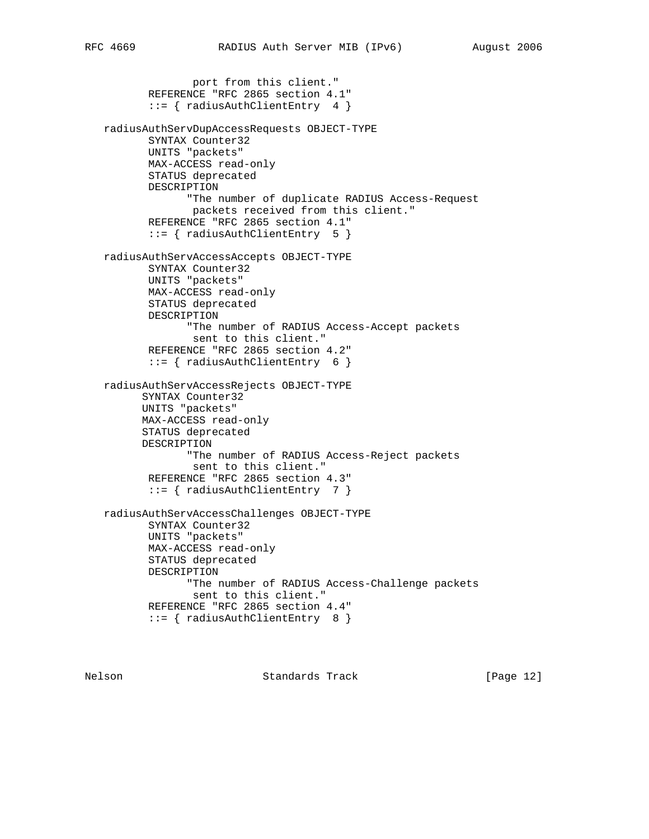```
 port from this client."
        REFERENCE "RFC 2865 section 4.1"
        ::= { radiusAuthClientEntry 4 }
 radiusAuthServDupAccessRequests OBJECT-TYPE
        SYNTAX Counter32
        UNITS "packets"
        MAX-ACCESS read-only
        STATUS deprecated
        DESCRIPTION
              "The number of duplicate RADIUS Access-Request
               packets received from this client."
        REFERENCE "RFC 2865 section 4.1"
        ::= { radiusAuthClientEntry 5 }
 radiusAuthServAccessAccepts OBJECT-TYPE
        SYNTAX Counter32
        UNITS "packets"
        MAX-ACCESS read-only
        STATUS deprecated
        DESCRIPTION
              "The number of RADIUS Access-Accept packets
               sent to this client."
        REFERENCE "RFC 2865 section 4.2"
        ::= { radiusAuthClientEntry 6 }
 radiusAuthServAccessRejects OBJECT-TYPE
       SYNTAX Counter32
       UNITS "packets"
       MAX-ACCESS read-only
       STATUS deprecated
       DESCRIPTION
              "The number of RADIUS Access-Reject packets
              sent to this client."
        REFERENCE "RFC 2865 section 4.3"
        ::= { radiusAuthClientEntry 7 }
 radiusAuthServAccessChallenges OBJECT-TYPE
        SYNTAX Counter32
        UNITS "packets"
        MAX-ACCESS read-only
        STATUS deprecated
        DESCRIPTION
              "The number of RADIUS Access-Challenge packets
               sent to this client."
        REFERENCE "RFC 2865 section 4.4"
        ::= { radiusAuthClientEntry 8 }
```
Nelson **Standards Track** [Page 12]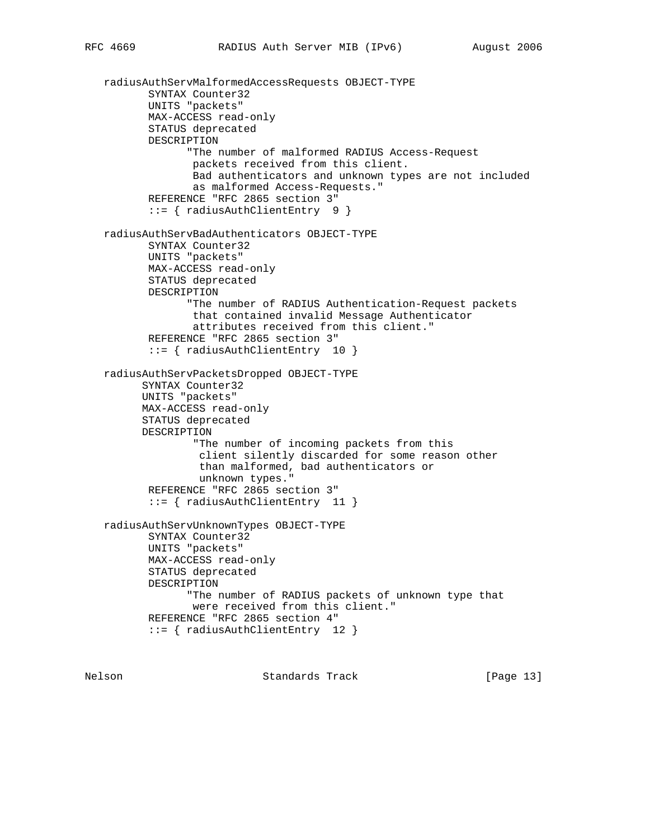```
 radiusAuthServMalformedAccessRequests OBJECT-TYPE
        SYNTAX Counter32
        UNITS "packets"
        MAX-ACCESS read-only
        STATUS deprecated
        DESCRIPTION
              "The number of malformed RADIUS Access-Request
               packets received from this client.
               Bad authenticators and unknown types are not included
               as malformed Access-Requests."
        REFERENCE "RFC 2865 section 3"
        ::= { radiusAuthClientEntry 9 }
 radiusAuthServBadAuthenticators OBJECT-TYPE
        SYNTAX Counter32
        UNITS "packets"
        MAX-ACCESS read-only
        STATUS deprecated
        DESCRIPTION
              "The number of RADIUS Authentication-Request packets
               that contained invalid Message Authenticator
               attributes received from this client."
        REFERENCE "RFC 2865 section 3"
        ::= { radiusAuthClientEntry 10 }
 radiusAuthServPacketsDropped OBJECT-TYPE
       SYNTAX Counter32
       UNITS "packets"
       MAX-ACCESS read-only
       STATUS deprecated
       DESCRIPTION
               "The number of incoming packets from this
                client silently discarded for some reason other
                than malformed, bad authenticators or
                unknown types."
        REFERENCE "RFC 2865 section 3"
        ::= { radiusAuthClientEntry 11 }
 radiusAuthServUnknownTypes OBJECT-TYPE
        SYNTAX Counter32
        UNITS "packets"
        MAX-ACCESS read-only
        STATUS deprecated
        DESCRIPTION
              "The number of RADIUS packets of unknown type that
               were received from this client."
        REFERENCE "RFC 2865 section 4"
        ::= { radiusAuthClientEntry 12 }
```
Nelson **Standards Track** [Page 13]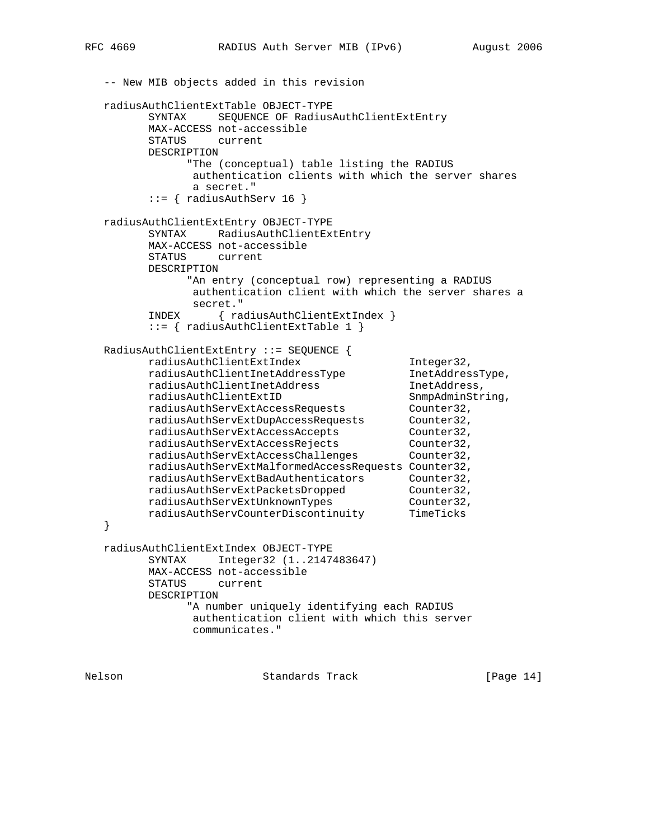```
 -- New MIB objects added in this revision
   radiusAuthClientExtTable OBJECT-TYPE
         SYNTAX SEQUENCE OF RadiusAuthClientExtEntry
         MAX-ACCESS not-accessible
         STATUS current
         DESCRIPTION
              "The (conceptual) table listing the RADIUS
               authentication clients with which the server shares
               a secret."
        ::= { radiusAuthServ 16 }
   radiusAuthClientExtEntry OBJECT-TYPE
         SYNTAX RadiusAuthClientExtEntry
         MAX-ACCESS not-accessible
         STATUS current
         DESCRIPTION
              "An entry (conceptual row) representing a RADIUS
               authentication client with which the server shares a
               secret."
         INDEX { radiusAuthClientExtIndex }
         ::= { radiusAuthClientExtTable 1 }
   RadiusAuthClientExtEntry ::= SEQUENCE {
 radiusAuthClientExtIndex Integer32,
 radiusAuthClientInetAddressType InetAddressType,
 radiusAuthClientInetAddress InetAddress,
radiusAuthClientExtID SnmpAdminString,
 radiusAuthServExtAccessRequests Counter32,
 radiusAuthServExtDupAccessRequests Counter32,
 radiusAuthServExtAccessAccepts Counter32,
 radiusAuthServExtAccessRejects Counter32,
 radiusAuthServExtAccessChallenges Counter32,
         radiusAuthServExtMalformedAccessRequests Counter32,
 radiusAuthServExtBadAuthenticators Counter32,
 radiusAuthServExtPacketsDropped Counter32,
 radiusAuthServExtUnknownTypes Counter32,
         radiusAuthServCounterDiscontinuity TimeTicks
   }
   radiusAuthClientExtIndex OBJECT-TYPE
         SYNTAX Integer32 (1..2147483647)
         MAX-ACCESS not-accessible
         STATUS current
         DESCRIPTION
              "A number uniquely identifying each RADIUS
               authentication client with which this server
               communicates."
```
Nelson **Standards Track** [Page 14]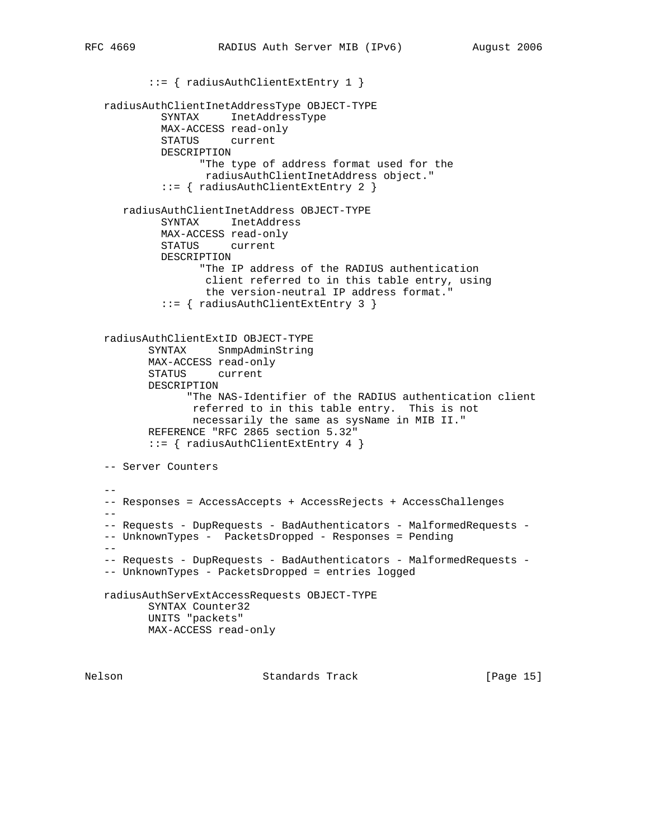::= { radiusAuthClientExtEntry 1 } radiusAuthClientInetAddressType OBJECT-TYPE SYNTAX InetAddressType MAX-ACCESS read-only STATUS current DESCRIPTION "The type of address format used for the radiusAuthClientInetAddress object." ::= { radiusAuthClientExtEntry 2 } radiusAuthClientInetAddress OBJECT-TYPE SYNTAX InetAddress MAX-ACCESS read-only STATUS current DESCRIPTION "The IP address of the RADIUS authentication client referred to in this table entry, using the version-neutral IP address format." ::= { radiusAuthClientExtEntry 3 } radiusAuthClientExtID OBJECT-TYPE SYNTAX SnmpAdminString MAX-ACCESS read-only STATUS current DESCRIPTION "The NAS-Identifier of the RADIUS authentication client referred to in this table entry. This is not necessarily the same as sysName in MIB II." REFERENCE "RFC 2865 section 5.32" ::= { radiusAuthClientExtEntry 4 } -- Server Counters  $-$  -- Responses = AccessAccepts + AccessRejects + AccessChallenges -- -- Requests - DupRequests - BadAuthenticators - MalformedRequests - -- UnknownTypes - PacketsDropped - Responses = Pending -- -- Requests - DupRequests - BadAuthenticators - MalformedRequests - -- UnknownTypes - PacketsDropped = entries logged radiusAuthServExtAccessRequests OBJECT-TYPE SYNTAX Counter32 UNITS "packets" MAX-ACCESS read-only

Nelson **Standards Track** [Page 15]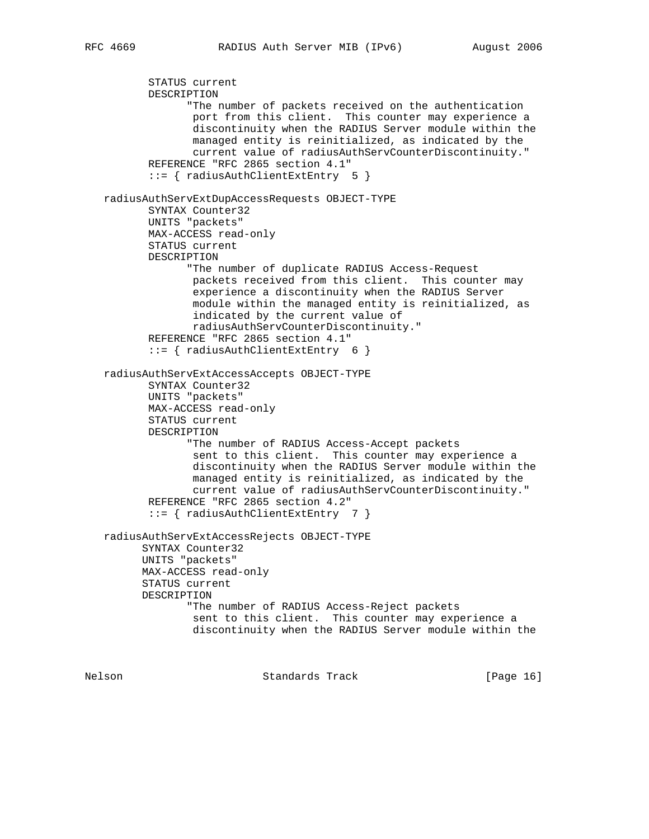```
 STATUS current
        DESCRIPTION
              "The number of packets received on the authentication
               port from this client. This counter may experience a
               discontinuity when the RADIUS Server module within the
               managed entity is reinitialized, as indicated by the
               current value of radiusAuthServCounterDiscontinuity."
        REFERENCE "RFC 2865 section 4.1"
        ::= { radiusAuthClientExtEntry 5 }
 radiusAuthServExtDupAccessRequests OBJECT-TYPE
       SYNTAX Counter32
        UNITS "packets"
        MAX-ACCESS read-only
        STATUS current
        DESCRIPTION
              "The number of duplicate RADIUS Access-Request
               packets received from this client. This counter may
               experience a discontinuity when the RADIUS Server
               module within the managed entity is reinitialized, as
               indicated by the current value of
               radiusAuthServCounterDiscontinuity."
        REFERENCE "RFC 2865 section 4.1"
        ::= { radiusAuthClientExtEntry 6 }
 radiusAuthServExtAccessAccepts OBJECT-TYPE
        SYNTAX Counter32
        UNITS "packets"
        MAX-ACCESS read-only
        STATUS current
        DESCRIPTION
              "The number of RADIUS Access-Accept packets
               sent to this client. This counter may experience a
               discontinuity when the RADIUS Server module within the
               managed entity is reinitialized, as indicated by the
               current value of radiusAuthServCounterDiscontinuity."
        REFERENCE "RFC 2865 section 4.2"
        ::= { radiusAuthClientExtEntry 7 }
 radiusAuthServExtAccessRejects OBJECT-TYPE
       SYNTAX Counter32
       UNITS "packets"
       MAX-ACCESS read-only
       STATUS current
       DESCRIPTION
              "The number of RADIUS Access-Reject packets
               sent to this client. This counter may experience a
               discontinuity when the RADIUS Server module within the
```
Nelson Standards Track [Page 16]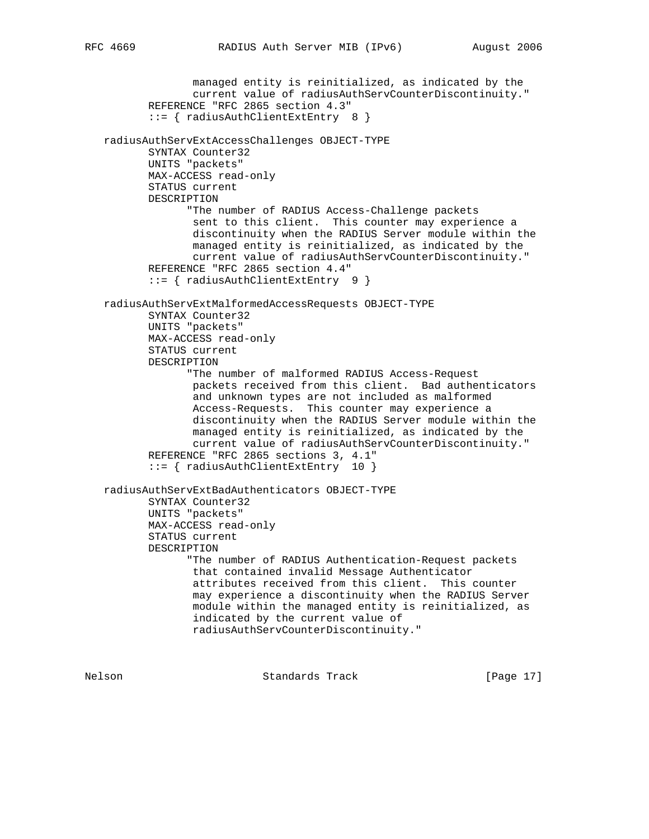managed entity is reinitialized, as indicated by the current value of radiusAuthServCounterDiscontinuity." REFERENCE "RFC 2865 section 4.3" ::= { radiusAuthClientExtEntry 8 } radiusAuthServExtAccessChallenges OBJECT-TYPE SYNTAX Counter32 UNITS "packets" MAX-ACCESS read-only STATUS current DESCRIPTION "The number of RADIUS Access-Challenge packets sent to this client. This counter may experience a discontinuity when the RADIUS Server module within the managed entity is reinitialized, as indicated by the current value of radiusAuthServCounterDiscontinuity." REFERENCE "RFC 2865 section 4.4" ::= { radiusAuthClientExtEntry 9 } radiusAuthServExtMalformedAccessRequests OBJECT-TYPE SYNTAX Counter32 UNITS "packets" MAX-ACCESS read-only STATUS current DESCRIPTION "The number of malformed RADIUS Access-Request packets received from this client. Bad authenticators and unknown types are not included as malformed Access-Requests. This counter may experience a discontinuity when the RADIUS Server module within the managed entity is reinitialized, as indicated by the current value of radiusAuthServCounterDiscontinuity." REFERENCE "RFC 2865 sections 3, 4.1" ::= { radiusAuthClientExtEntry 10 } radiusAuthServExtBadAuthenticators OBJECT-TYPE SYNTAX Counter32 UNITS "packets" MAX-ACCESS read-only STATUS current DESCRIPTION "The number of RADIUS Authentication-Request packets that contained invalid Message Authenticator attributes received from this client. This counter may experience a discontinuity when the RADIUS Server module within the managed entity is reinitialized, as indicated by the current value of radiusAuthServCounterDiscontinuity."

Nelson Standards Track [Page 17]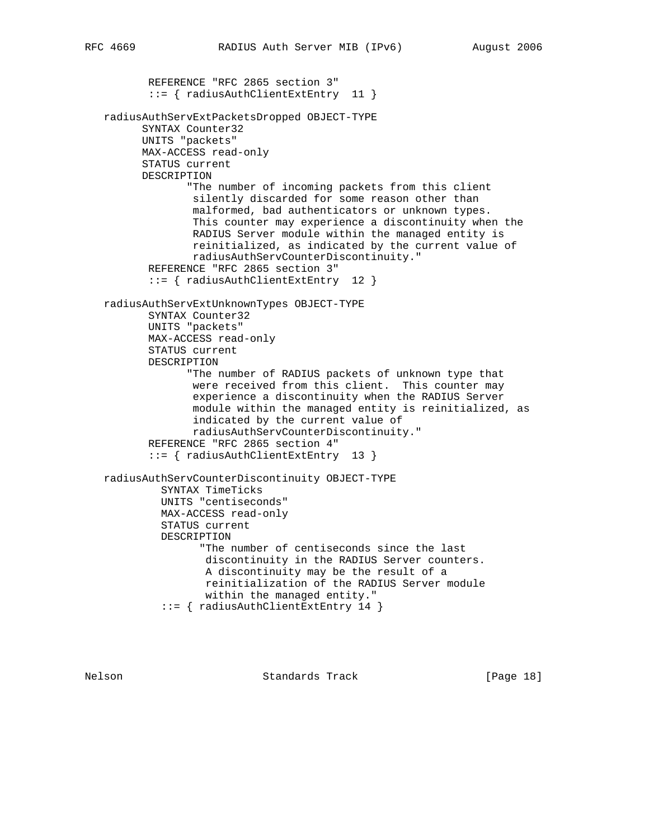```
 REFERENCE "RFC 2865 section 3"
        ::= { radiusAuthClientExtEntry 11 }
 radiusAuthServExtPacketsDropped OBJECT-TYPE
       SYNTAX Counter32
       UNITS "packets"
       MAX-ACCESS read-only
       STATUS current
       DESCRIPTION
              "The number of incoming packets from this client
               silently discarded for some reason other than
               malformed, bad authenticators or unknown types.
               This counter may experience a discontinuity when the
               RADIUS Server module within the managed entity is
               reinitialized, as indicated by the current value of
               radiusAuthServCounterDiscontinuity."
        REFERENCE "RFC 2865 section 3"
        ::= { radiusAuthClientExtEntry 12 }
 radiusAuthServExtUnknownTypes OBJECT-TYPE
        SYNTAX Counter32
        UNITS "packets"
        MAX-ACCESS read-only
        STATUS current
        DESCRIPTION
              "The number of RADIUS packets of unknown type that
               were received from this client. This counter may
               experience a discontinuity when the RADIUS Server
               module within the managed entity is reinitialized, as
               indicated by the current value of
               radiusAuthServCounterDiscontinuity."
        REFERENCE "RFC 2865 section 4"
        ::= { radiusAuthClientExtEntry 13 }
 radiusAuthServCounterDiscontinuity OBJECT-TYPE
          SYNTAX TimeTicks
          UNITS "centiseconds"
          MAX-ACCESS read-only
          STATUS current
          DESCRIPTION
                "The number of centiseconds since the last
                 discontinuity in the RADIUS Server counters.
                 A discontinuity may be the result of a
                 reinitialization of the RADIUS Server module
                 within the managed entity."
          ::= { radiusAuthClientExtEntry 14 }
```
Nelson **Standards Track** [Page 18]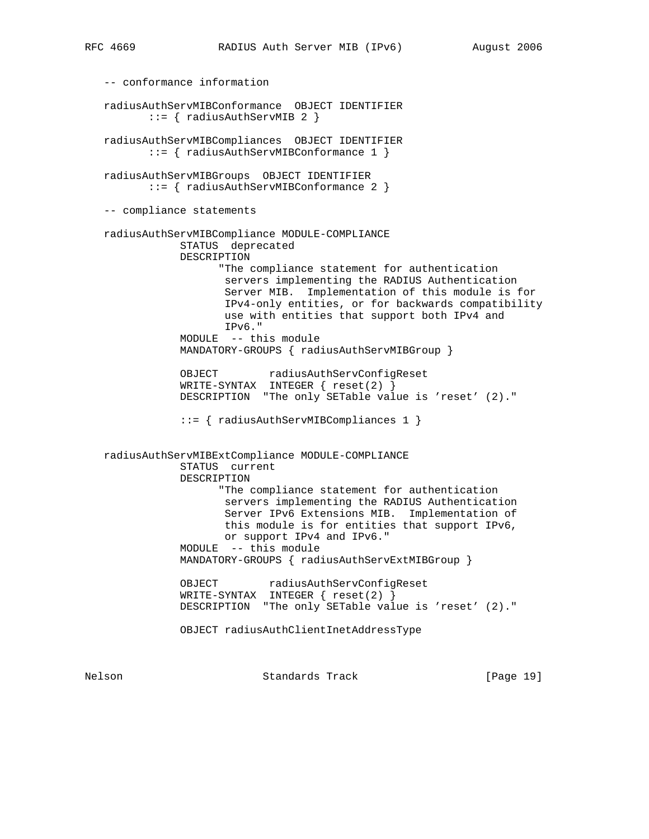```
 -- conformance information
   radiusAuthServMIBConformance OBJECT IDENTIFIER
          ::= { radiusAuthServMIB 2 }
   radiusAuthServMIBCompliances OBJECT IDENTIFIER
          ::= { radiusAuthServMIBConformance 1 }
   radiusAuthServMIBGroups OBJECT IDENTIFIER
          ::= { radiusAuthServMIBConformance 2 }
   -- compliance statements
   radiusAuthServMIBCompliance MODULE-COMPLIANCE
               STATUS deprecated
               DESCRIPTION
                     "The compliance statement for authentication
                      servers implementing the RADIUS Authentication
                      Server MIB. Implementation of this module is for
                      IPv4-only entities, or for backwards compatibility
                      use with entities that support both IPv4 and
                      IPv6."
               MODULE -- this module
               MANDATORY-GROUPS { radiusAuthServMIBGroup }
 OBJECT radiusAuthServConfigReset
 WRITE-SYNTAX INTEGER { reset(2) }
               DESCRIPTION "The only SETable value is 'reset' (2)."
               ::= { radiusAuthServMIBCompliances 1 }
   radiusAuthServMIBExtCompliance MODULE-COMPLIANCE
               STATUS current
               DESCRIPTION
                     "The compliance statement for authentication
                      servers implementing the RADIUS Authentication
                      Server IPv6 Extensions MIB. Implementation of
                      this module is for entities that support IPv6,
                      or support IPv4 and IPv6."
               MODULE -- this module
               MANDATORY-GROUPS { radiusAuthServExtMIBGroup }
               OBJECT radiusAuthServConfigReset
               WRITE-SYNTAX INTEGER { reset(2) }
               DESCRIPTION "The only SETable value is 'reset' (2)."
               OBJECT radiusAuthClientInetAddressType
```
Nelson Standards Track [Page 19]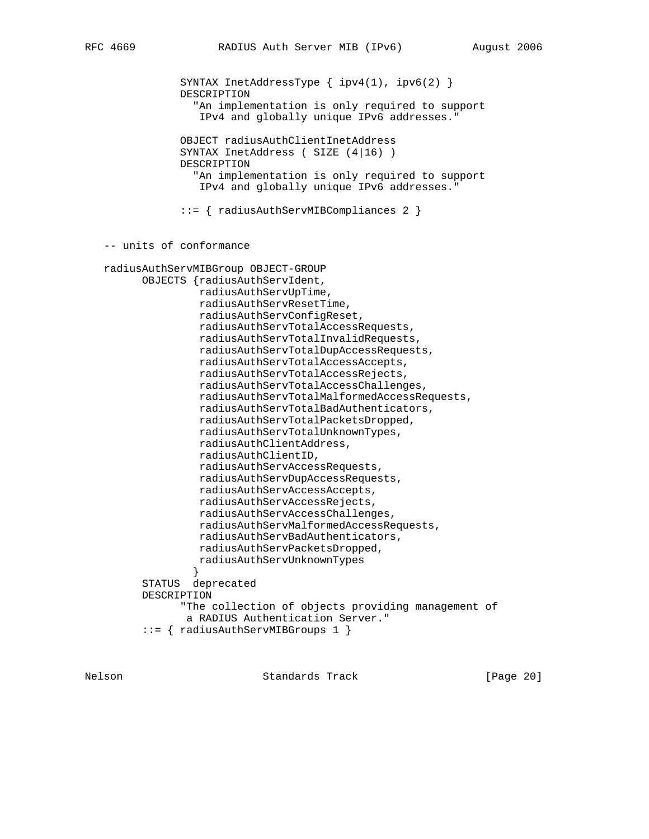SYNTAX InetAddressType { ipv4(1), ipv6(2) } DESCRIPTION "An implementation is only required to support IPv4 and globally unique IPv6 addresses." OBJECT radiusAuthClientInetAddress SYNTAX InetAddress ( SIZE (4|16) ) DESCRIPTION "An implementation is only required to support IPv4 and globally unique IPv6 addresses." ::= { radiusAuthServMIBCompliances 2 } -- units of conformance radiusAuthServMIBGroup OBJECT-GROUP OBJECTS {radiusAuthServIdent, radiusAuthServUpTime, radiusAuthServResetTime, radiusAuthServConfigReset, radiusAuthServTotalAccessRequests, radiusAuthServTotalInvalidRequests, radiusAuthServTotalDupAccessRequests, radiusAuthServTotalAccessAccepts, radiusAuthServTotalAccessRejects, radiusAuthServTotalAccessChallenges, radiusAuthServTotalMalformedAccessRequests, radiusAuthServTotalBadAuthenticators, radiusAuthServTotalPacketsDropped, radiusAuthServTotalUnknownTypes, radiusAuthClientAddress, radiusAuthClientID, radiusAuthServAccessRequests, radiusAuthServDupAccessRequests, radiusAuthServAccessAccepts, radiusAuthServAccessRejects, radiusAuthServAccessChallenges, radiusAuthServMalformedAccessRequests, radiusAuthServBadAuthenticators, radiusAuthServPacketsDropped, radiusAuthServUnknownTypes } STATUS deprecated DESCRIPTION "The collection of objects providing management of a RADIUS Authentication Server." ::= { radiusAuthServMIBGroups 1 }

Nelson **Standards Track** [Page 20]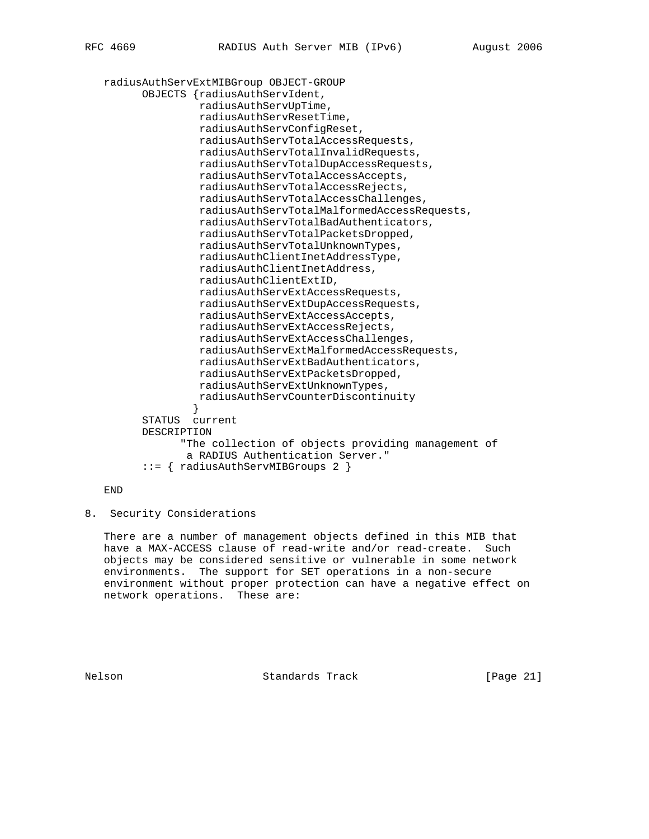radiusAuthServExtMIBGroup OBJECT-GROUP OBJECTS {radiusAuthServIdent, radiusAuthServUpTime, radiusAuthServResetTime, radiusAuthServConfigReset, radiusAuthServTotalAccessRequests, radiusAuthServTotalInvalidRequests, radiusAuthServTotalDupAccessRequests, radiusAuthServTotalAccessAccepts, radiusAuthServTotalAccessRejects, radiusAuthServTotalAccessChallenges, radiusAuthServTotalMalformedAccessRequests, radiusAuthServTotalBadAuthenticators, radiusAuthServTotalPacketsDropped, radiusAuthServTotalUnknownTypes, radiusAuthClientInetAddressType, radiusAuthClientInetAddress, radiusAuthClientExtID, radiusAuthServExtAccessRequests, radiusAuthServExtDupAccessRequests, radiusAuthServExtAccessAccepts, radiusAuthServExtAccessRejects, radiusAuthServExtAccessChallenges, radiusAuthServExtMalformedAccessRequests, radiusAuthServExtBadAuthenticators, radiusAuthServExtPacketsDropped, radiusAuthServExtUnknownTypes, radiusAuthServCounterDiscontinuity } STATUS current DESCRIPTION "The collection of objects providing management of a RADIUS Authentication Server." ::= { radiusAuthServMIBGroups 2 }

END

8. Security Considerations

 There are a number of management objects defined in this MIB that have a MAX-ACCESS clause of read-write and/or read-create. Such objects may be considered sensitive or vulnerable in some network environments. The support for SET operations in a non-secure environment without proper protection can have a negative effect on network operations. These are:

Nelson **Standards Track** [Page 21]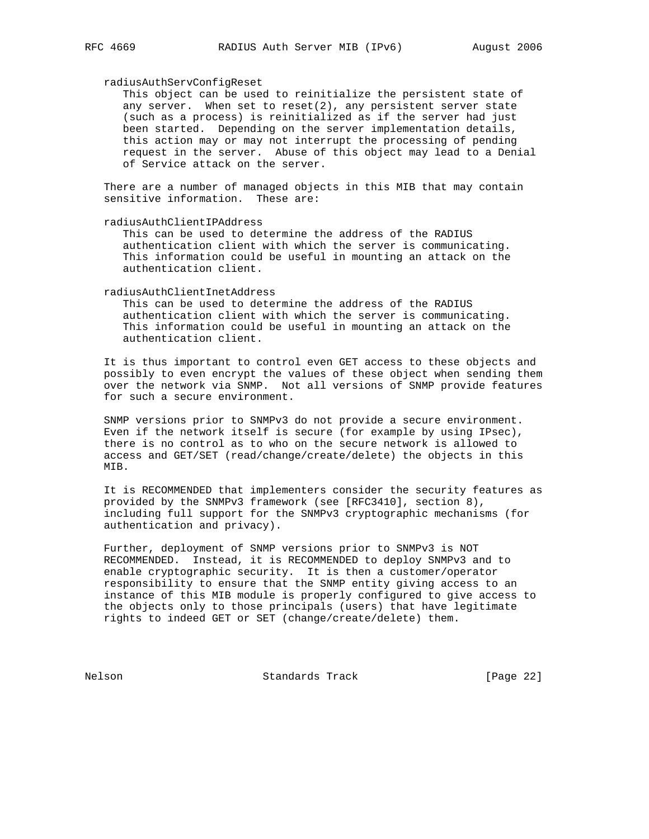#### radiusAuthServConfigReset

 This object can be used to reinitialize the persistent state of any server. When set to reset $(2)$ , any persistent server state (such as a process) is reinitialized as if the server had just been started. Depending on the server implementation details, this action may or may not interrupt the processing of pending request in the server. Abuse of this object may lead to a Denial of Service attack on the server.

 There are a number of managed objects in this MIB that may contain sensitive information. These are:

radiusAuthClientIPAddress

 This can be used to determine the address of the RADIUS authentication client with which the server is communicating. This information could be useful in mounting an attack on the authentication client.

#### radiusAuthClientInetAddress

 This can be used to determine the address of the RADIUS authentication client with which the server is communicating. This information could be useful in mounting an attack on the authentication client.

 It is thus important to control even GET access to these objects and possibly to even encrypt the values of these object when sending them over the network via SNMP. Not all versions of SNMP provide features for such a secure environment.

 SNMP versions prior to SNMPv3 do not provide a secure environment. Even if the network itself is secure (for example by using IPsec), there is no control as to who on the secure network is allowed to access and GET/SET (read/change/create/delete) the objects in this MIB.

 It is RECOMMENDED that implementers consider the security features as provided by the SNMPv3 framework (see [RFC3410], section 8), including full support for the SNMPv3 cryptographic mechanisms (for authentication and privacy).

 Further, deployment of SNMP versions prior to SNMPv3 is NOT RECOMMENDED. Instead, it is RECOMMENDED to deploy SNMPv3 and to enable cryptographic security. It is then a customer/operator responsibility to ensure that the SNMP entity giving access to an instance of this MIB module is properly configured to give access to the objects only to those principals (users) that have legitimate rights to indeed GET or SET (change/create/delete) them.

Nelson Standards Track [Page 22]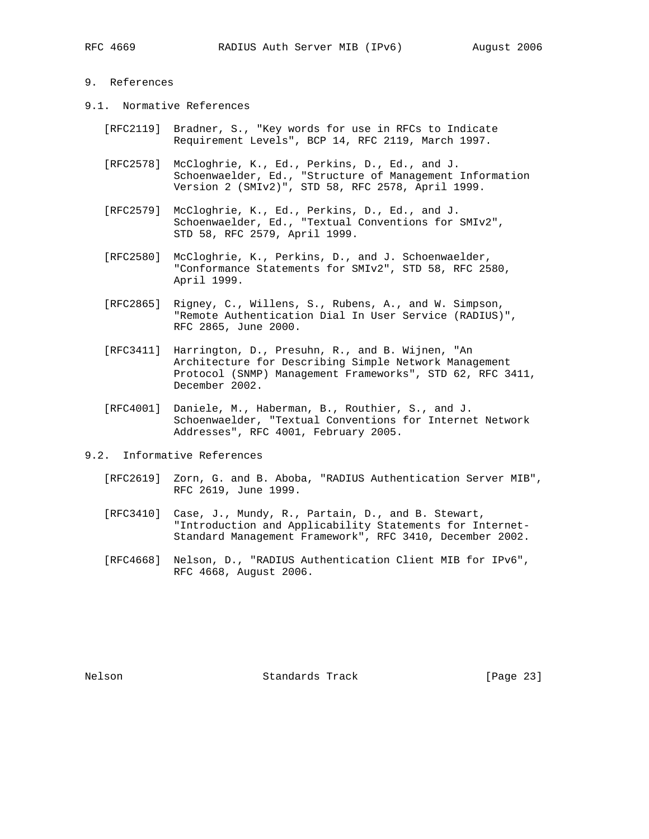# 9. References

- 9.1. Normative References
	- [RFC2119] Bradner, S., "Key words for use in RFCs to Indicate Requirement Levels", BCP 14, RFC 2119, March 1997.
	- [RFC2578] McCloghrie, K., Ed., Perkins, D., Ed., and J. Schoenwaelder, Ed., "Structure of Management Information Version 2 (SMIv2)", STD 58, RFC 2578, April 1999.
	- [RFC2579] McCloghrie, K., Ed., Perkins, D., Ed., and J. Schoenwaelder, Ed., "Textual Conventions for SMIv2", STD 58, RFC 2579, April 1999.
	- [RFC2580] McCloghrie, K., Perkins, D., and J. Schoenwaelder, "Conformance Statements for SMIv2", STD 58, RFC 2580, April 1999.
	- [RFC2865] Rigney, C., Willens, S., Rubens, A., and W. Simpson, "Remote Authentication Dial In User Service (RADIUS)", RFC 2865, June 2000.
	- [RFC3411] Harrington, D., Presuhn, R., and B. Wijnen, "An Architecture for Describing Simple Network Management Protocol (SNMP) Management Frameworks", STD 62, RFC 3411, December 2002.
	- [RFC4001] Daniele, M., Haberman, B., Routhier, S., and J. Schoenwaelder, "Textual Conventions for Internet Network Addresses", RFC 4001, February 2005.
- 9.2. Informative References
	- [RFC2619] Zorn, G. and B. Aboba, "RADIUS Authentication Server MIB", RFC 2619, June 1999.
	- [RFC3410] Case, J., Mundy, R., Partain, D., and B. Stewart, "Introduction and Applicability Statements for Internet- Standard Management Framework", RFC 3410, December 2002.
	- [RFC4668] Nelson, D., "RADIUS Authentication Client MIB for IPv6", RFC 4668, August 2006.

Nelson Standards Track [Page 23]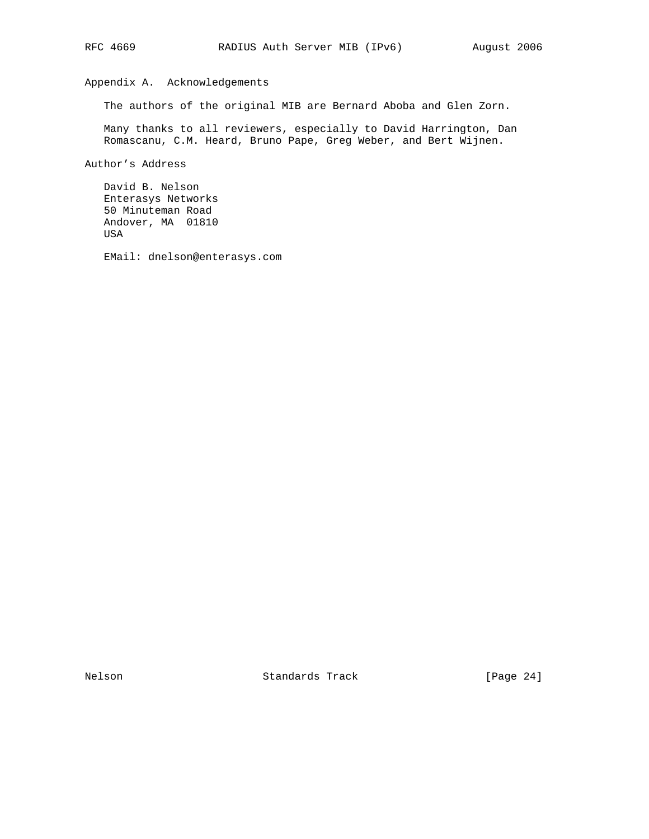# Appendix A. Acknowledgements

The authors of the original MIB are Bernard Aboba and Glen Zorn.

 Many thanks to all reviewers, especially to David Harrington, Dan Romascanu, C.M. Heard, Bruno Pape, Greg Weber, and Bert Wijnen.

Author's Address

 David B. Nelson Enterasys Networks 50 Minuteman Road Andover, MA 01810 USA

EMail: dnelson@enterasys.com

Nelson Standards Track [Page 24]